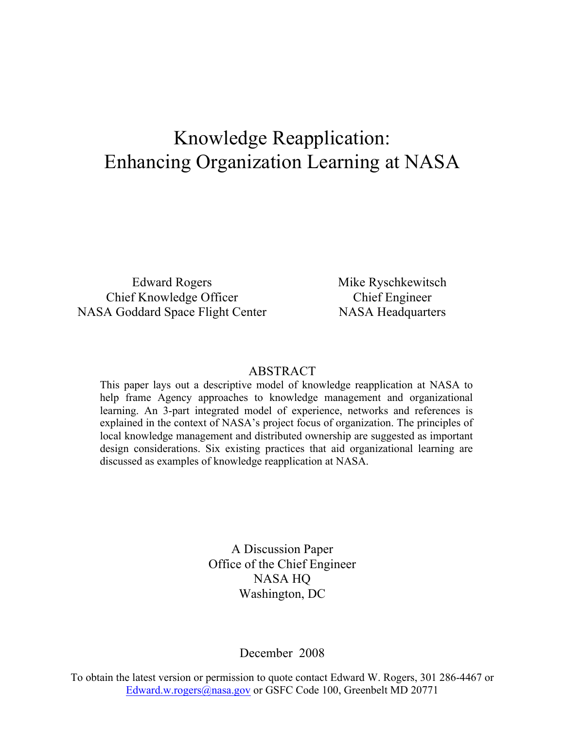# Knowledge Reapplication: Enhancing Organization Learning at NASA

Edward Rogers Chief Knowledge Officer NASA Goddard Space Flight Center Mike Ryschkewitsch Chief Engineer NASA Headquarters

#### ABSTRACT

This paper lays out a descriptive model of knowledge reapplication at NASA to help frame Agency approaches to knowledge management and organizational learning. An 3-part integrated model of experience, networks and references is explained in the context of NASA's project focus of organization. The principles of local knowledge management and distributed ownership are suggested as important design considerations. Six existing practices that aid organizational learning are discussed as examples of knowledge reapplication at NASA.

> A Discussion Paper Office of the Chief Engineer NASA HQ Washington, DC

> > December 2008

To obtain the latest version or permission to quote contact Edward W. Rogers, 301 286-4467 or Edward.w.rogers@nasa.gov or GSFC Code 100, Greenbelt MD 20771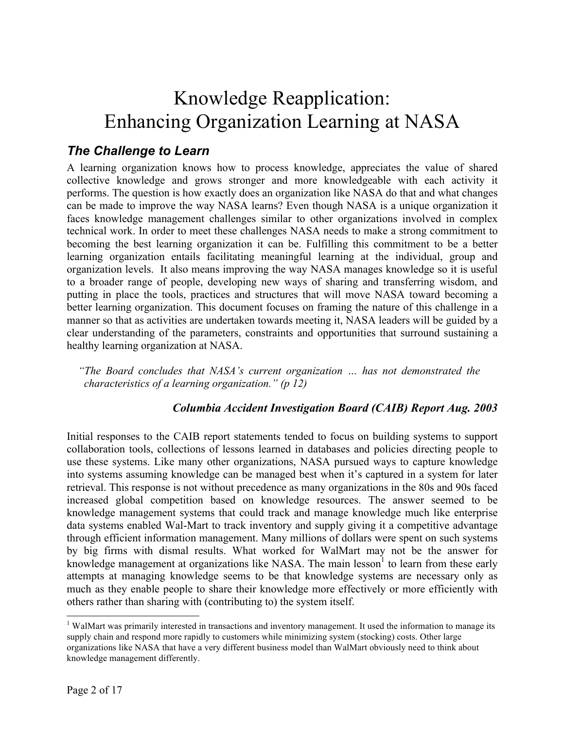# Knowledge Reapplication: Enhancing Organization Learning at NASA

## *The Challenge to Learn*

A learning organization knows how to process knowledge, appreciates the value of shared collective knowledge and grows stronger and more knowledgeable with each activity it performs. The question is how exactly does an organization like NASA do that and what changes can be made to improve the way NASA learns? Even though NASA is a unique organization it faces knowledge management challenges similar to other organizations involved in complex technical work. In order to meet these challenges NASA needs to make a strong commitment to becoming the best learning organization it can be. Fulfilling this commitment to be a better learning organization entails facilitating meaningful learning at the individual, group and organization levels. It also means improving the way NASA manages knowledge so it is useful to a broader range of people, developing new ways of sharing and transferring wisdom, and putting in place the tools, practices and structures that will move NASA toward becoming a better learning organization. This document focuses on framing the nature of this challenge in a manner so that as activities are undertaken towards meeting it, NASA leaders will be guided by a clear understanding of the parameters, constraints and opportunities that surround sustaining a healthy learning organization at NASA.

*"The Board concludes that NASA's current organization … has not demonstrated the characteristics of a learning organization." (p 12)* 

#### *Columbia Accident Investigation Board (CAIB) Report Aug. 2003*

Initial responses to the CAIB report statements tended to focus on building systems to support collaboration tools, collections of lessons learned in databases and policies directing people to use these systems. Like many other organizations, NASA pursued ways to capture knowledge into systems assuming knowledge can be managed best when it's captured in a system for later retrieval. This response is not without precedence as many organizations in the 80s and 90s faced increased global competition based on knowledge resources. The answer seemed to be knowledge management systems that could track and manage knowledge much like enterprise data systems enabled Wal-Mart to track inventory and supply giving it a competitive advantage through efficient information management. Many millions of dollars were spent on such systems by big firms with dismal results. What worked for WalMart may not be the answer for knowledge management at organizations like NASA. The main lesson  $\mu$  to learn from these early attempts at managing knowledge seems to be that knowledge systems are necessary only as much as they enable people to share their knowledge more effectively or more efficiently with others rather than sharing with (contributing to) the system itself.

<sup>&</sup>lt;sup>1</sup> WalMart was primarily interested in transactions and inventory management. It used the information to manage its supply chain and respond more rapidly to customers while minimizing system (stocking) costs. Other large organizations like NASA that have a very different business model than WalMart obviously need to think about knowledge management differently.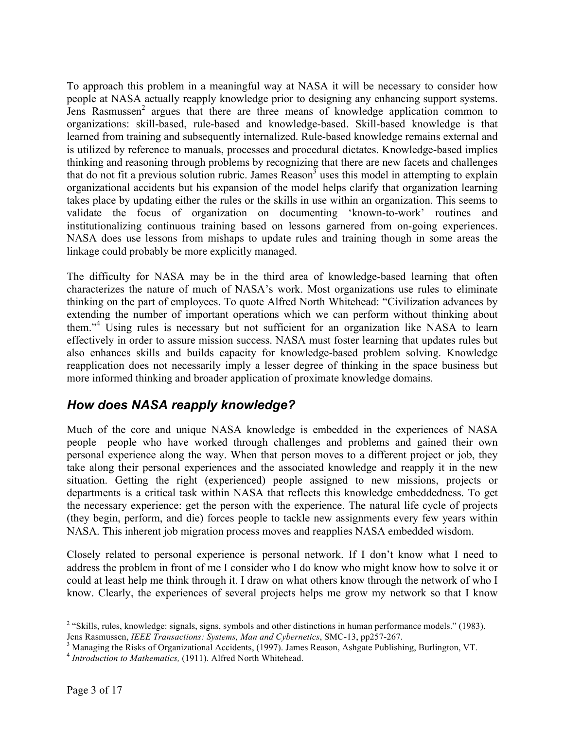To approach this problem in a meaningful way at NASA it will be necessary to consider how people at NASA actually reapply knowledge prior to designing any enhancing support systems. Jens Rasmussen<sup>2</sup> argues that there are three means of knowledge application common to organizations: skill-based, rule-based and knowledge-based. Skill-based knowledge is that learned from training and subsequently internalized. Rule-based knowledge remains external and is utilized by reference to manuals, processes and procedural dictates. Knowledge-based implies thinking and reasoning through problems by recognizing that there are new facets and challenges that do not fit a previous solution rubric. James  $Reason^3$  uses this model in attempting to explain organizational accidents but his expansion of the model helps clarify that organization learning takes place by updating either the rules or the skills in use within an organization. This seems to validate the focus of organization on documenting 'known-to-work' routines and institutionalizing continuous training based on lessons garnered from on-going experiences. NASA does use lessons from mishaps to update rules and training though in some areas the linkage could probably be more explicitly managed.

The difficulty for NASA may be in the third area of knowledge-based learning that often characterizes the nature of much of NASA's work. Most organizations use rules to eliminate thinking on the part of employees. To quote Alfred North Whitehead: "Civilization advances by extending the number of important operations which we can perform without thinking about them."<sup>4</sup> Using rules is necessary but not sufficient for an organization like NASA to learn effectively in order to assure mission success. NASA must foster learning that updates rules but also enhances skills and builds capacity for knowledge-based problem solving. Knowledge reapplication does not necessarily imply a lesser degree of thinking in the space business but more informed thinking and broader application of proximate knowledge domains.

## *How does NASA reapply knowledge?*

Much of the core and unique NASA knowledge is embedded in the experiences of NASA people—people who have worked through challenges and problems and gained their own personal experience along the way. When that person moves to a different project or job, they take along their personal experiences and the associated knowledge and reapply it in the new situation. Getting the right (experienced) people assigned to new missions, projects or departments is a critical task within NASA that reflects this knowledge embeddedness. To get the necessary experience: get the person with the experience. The natural life cycle of projects (they begin, perform, and die) forces people to tackle new assignments every few years within NASA. This inherent job migration process moves and reapplies NASA embedded wisdom.

Closely related to personal experience is personal network. If I don't know what I need to address the problem in front of me I consider who I do know who might know how to solve it or could at least help me think through it. I draw on what others know through the network of who I know. Clearly, the experiences of several projects helps me grow my network so that I know

<sup>&</sup>lt;sup>2</sup> "Skills, rules, knowledge: signals, signs, symbols and other distinctions in human performance models." (1983). Jens Rasmussen, *IEEE Transactions: Systems, Man and Cybernetics*, SMC-13, pp257-267.

 $\frac{3}{4}$  Managing the Risks of Organizational Accidents, (1997). James Reason, Ashgate Publishing, Burlington, VT.<br> $\frac{4}{4}$  *Introduction to Mathematics*, (1911). Alfred North Whitehead.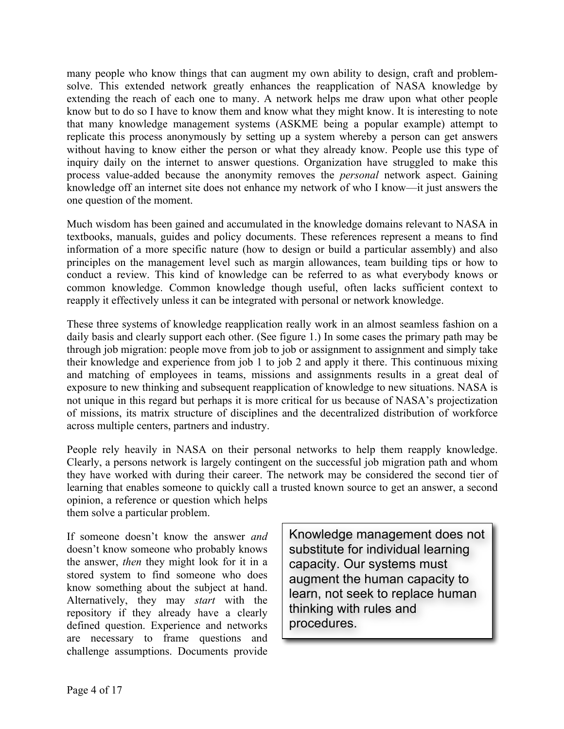many people who know things that can augment my own ability to design, craft and problemsolve. This extended network greatly enhances the reapplication of NASA knowledge by extending the reach of each one to many. A network helps me draw upon what other people know but to do so I have to know them and know what they might know. It is interesting to note that many knowledge management systems (ASKME being a popular example) attempt to replicate this process anonymously by setting up a system whereby a person can get answers without having to know either the person or what they already know. People use this type of inquiry daily on the internet to answer questions. Organization have struggled to make this process value-added because the anonymity removes the *personal* network aspect. Gaining knowledge off an internet site does not enhance my network of who I know—it just answers the one question of the moment.

Much wisdom has been gained and accumulated in the knowledge domains relevant to NASA in textbooks, manuals, guides and policy documents. These references represent a means to find information of a more specific nature (how to design or build a particular assembly) and also principles on the management level such as margin allowances, team building tips or how to conduct a review. This kind of knowledge can be referred to as what everybody knows or common knowledge. Common knowledge though useful, often lacks sufficient context to reapply it effectively unless it can be integrated with personal or network knowledge.

These three systems of knowledge reapplication really work in an almost seamless fashion on a daily basis and clearly support each other. (See figure 1.) In some cases the primary path may be through job migration: people move from job to job or assignment to assignment and simply take their knowledge and experience from job 1 to job 2 and apply it there. This continuous mixing and matching of employees in teams, missions and assignments results in a great deal of exposure to new thinking and subsequent reapplication of knowledge to new situations. NASA is not unique in this regard but perhaps it is more critical for us because of NASA's projectization of missions, its matrix structure of disciplines and the decentralized distribution of workforce across multiple centers, partners and industry.

People rely heavily in NASA on their personal networks to help them reapply knowledge. Clearly, a persons network is largely contingent on the successful job migration path and whom they have worked with during their career. The network may be considered the second tier of learning that enables someone to quickly call a trusted known source to get an answer, a second opinion, a reference or question which helps

them solve a particular problem.

If someone doesn't know the answer *and* doesn't know someone who probably knows the answer, *then* they might look for it in a stored system to find someone who does know something about the subject at hand. Alternatively, they may *start* with the repository if they already have a clearly defined question. Experience and networks are necessary to frame questions and challenge assumptions. Documents provide

Knowledge management does not substitute for individual learning capacity. Our systems must augment the human capacity to learn, not seek to replace human thinking with rules and procedures.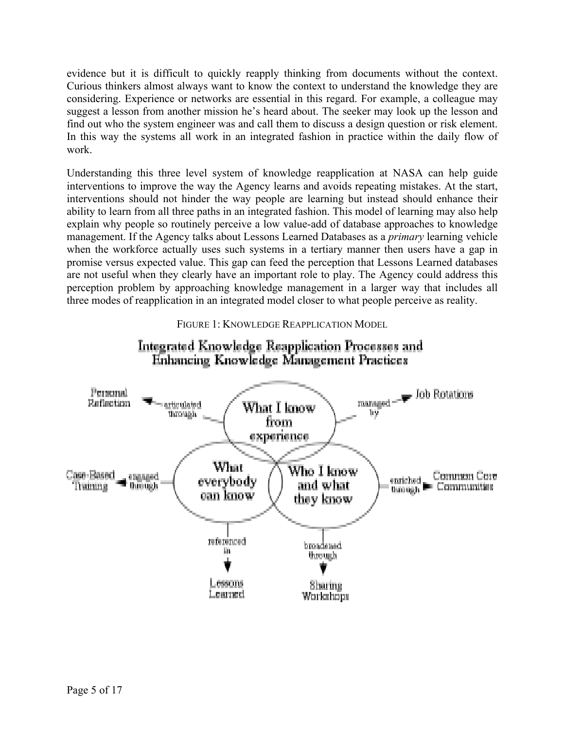evidence but it is difficult to quickly reapply thinking from documents without the context. Curious thinkers almost always want to know the context to understand the knowledge they are considering. Experience or networks are essential in this regard. For example, a colleague may suggest a lesson from another mission he's heard about. The seeker may look up the lesson and find out who the system engineer was and call them to discuss a design question or risk element. In this way the systems all work in an integrated fashion in practice within the daily flow of work.

Understanding this three level system of knowledge reapplication at NASA can help guide interventions to improve the way the Agency learns and avoids repeating mistakes. At the start, interventions should not hinder the way people are learning but instead should enhance their ability to learn from all three paths in an integrated fashion. This model of learning may also help explain why people so routinely perceive a low value-add of database approaches to knowledge management. If the Agency talks about Lessons Learned Databases as a *primary* learning vehicle when the workforce actually uses such systems in a tertiary manner then users have a gap in promise versus expected value. This gap can feed the perception that Lessons Learned databases are not useful when they clearly have an important role to play. The Agency could address this perception problem by approaching knowledge management in a larger way that includes all three modes of reapplication in an integrated model closer to what people perceive as reality.



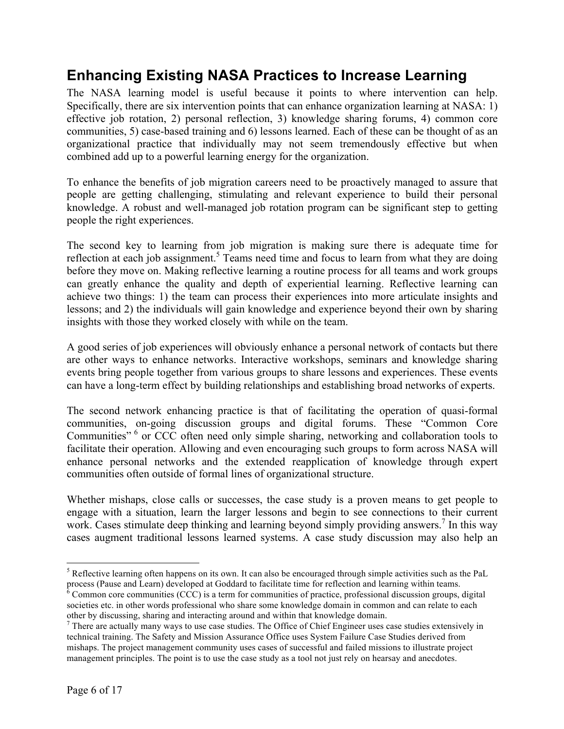## **Enhancing Existing NASA Practices to Increase Learning**

The NASA learning model is useful because it points to where intervention can help. Specifically, there are six intervention points that can enhance organization learning at NASA: 1) effective job rotation, 2) personal reflection, 3) knowledge sharing forums, 4) common core communities, 5) case-based training and 6) lessons learned. Each of these can be thought of as an organizational practice that individually may not seem tremendously effective but when combined add up to a powerful learning energy for the organization.

To enhance the benefits of job migration careers need to be proactively managed to assure that people are getting challenging, stimulating and relevant experience to build their personal knowledge. A robust and well-managed job rotation program can be significant step to getting people the right experiences.

The second key to learning from job migration is making sure there is adequate time for reflection at each job assignment.<sup>5</sup> Teams need time and focus to learn from what they are doing before they move on. Making reflective learning a routine process for all teams and work groups can greatly enhance the quality and depth of experiential learning. Reflective learning can achieve two things: 1) the team can process their experiences into more articulate insights and lessons; and 2) the individuals will gain knowledge and experience beyond their own by sharing insights with those they worked closely with while on the team.

A good series of job experiences will obviously enhance a personal network of contacts but there are other ways to enhance networks. Interactive workshops, seminars and knowledge sharing events bring people together from various groups to share lessons and experiences. These events can have a long-term effect by building relationships and establishing broad networks of experts.

The second network enhancing practice is that of facilitating the operation of quasi-formal communities, on-going discussion groups and digital forums. These "Common Core Communities" <sup>6</sup> or CCC often need only simple sharing, networking and collaboration tools to facilitate their operation. Allowing and even encouraging such groups to form across NASA will enhance personal networks and the extended reapplication of knowledge through expert communities often outside of formal lines of organizational structure.

Whether mishaps, close calls or successes, the case study is a proven means to get people to engage with a situation, learn the larger lessons and begin to see connections to their current work. Cases stimulate deep thinking and learning beyond simply providing answers.<sup>7</sup> In this way cases augment traditional lessons learned systems. A case study discussion may also help an

 $<sup>5</sup>$  Reflective learning often happens on its own. It can also be encouraged through simple activities such as the PaL</sup> process (Pause and Learn) developed at Goddard to facilitate time for reflection and learning within teams.

 $6$  Common core communities (CCC) is a term for communities of practice, professional discussion groups, digital societies etc. in other words professional who share some knowledge domain in common and can relate to each other by discussing, sharing and interacting around and within that knowledge domain.

 $<sup>7</sup>$  There are actually many ways to use case studies. The Office of Chief Engineer uses case studies extensively in</sup> technical training. The Safety and Mission Assurance Office uses System Failure Case Studies derived from mishaps. The project management community uses cases of successful and failed missions to illustrate project management principles. The point is to use the case study as a tool not just rely on hearsay and anecdotes.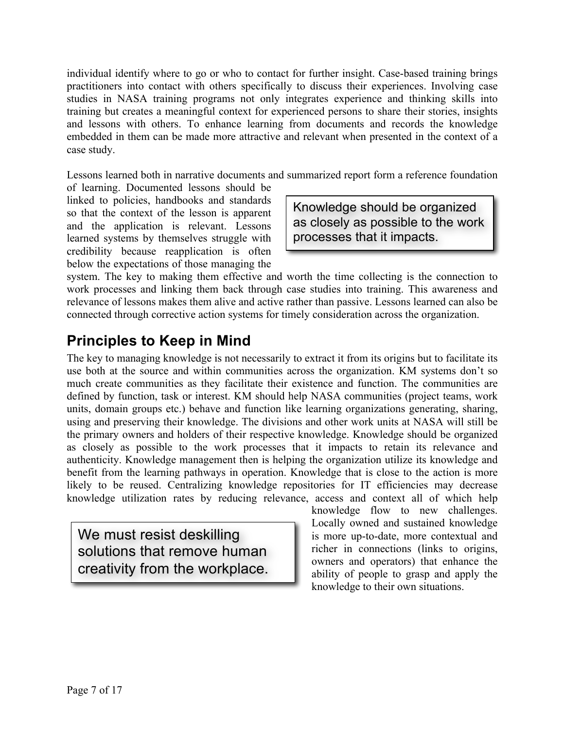individual identify where to go or who to contact for further insight. Case-based training brings practitioners into contact with others specifically to discuss their experiences. Involving case studies in NASA training programs not only integrates experience and thinking skills into training but creates a meaningful context for experienced persons to share their stories, insights and lessons with others. To enhance learning from documents and records the knowledge embedded in them can be made more attractive and relevant when presented in the context of a case study.

Lessons learned both in narrative documents and summarized report form a reference foundation

of learning. Documented lessons should be linked to policies, handbooks and standards so that the context of the lesson is apparent and the application is relevant. Lessons learned systems by themselves struggle with credibility because reapplication is often below the expectations of those managing the

Knowledge should be organized as closely as possible to the work processes that it impacts.

system. The key to making them effective and worth the time collecting is the connection to work processes and linking them back through case studies into training. This awareness and relevance of lessons makes them alive and active rather than passive. Lessons learned can also be connected through corrective action systems for timely consideration across the organization.

# **Principles to Keep in Mind**

The key to managing knowledge is not necessarily to extract it from its origins but to facilitate its use both at the source and within communities across the organization. KM systems don't so much create communities as they facilitate their existence and function. The communities are defined by function, task or interest. KM should help NASA communities (project teams, work units, domain groups etc.) behave and function like learning organizations generating, sharing, using and preserving their knowledge. The divisions and other work units at NASA will still be the primary owners and holders of their respective knowledge. Knowledge should be organized as closely as possible to the work processes that it impacts to retain its relevance and authenticity. Knowledge management then is helping the organization utilize its knowledge and benefit from the learning pathways in operation. Knowledge that is close to the action is more likely to be reused. Centralizing knowledge repositories for IT efficiencies may decrease knowledge utilization rates by reducing relevance, access and context all of which help

We must resist deskilling solutions that remove human creativity from the workplace.

knowledge flow to new challenges. Locally owned and sustained knowledge is more up-to-date, more contextual and richer in connections (links to origins, owners and operators) that enhance the ability of people to grasp and apply the knowledge to their own situations.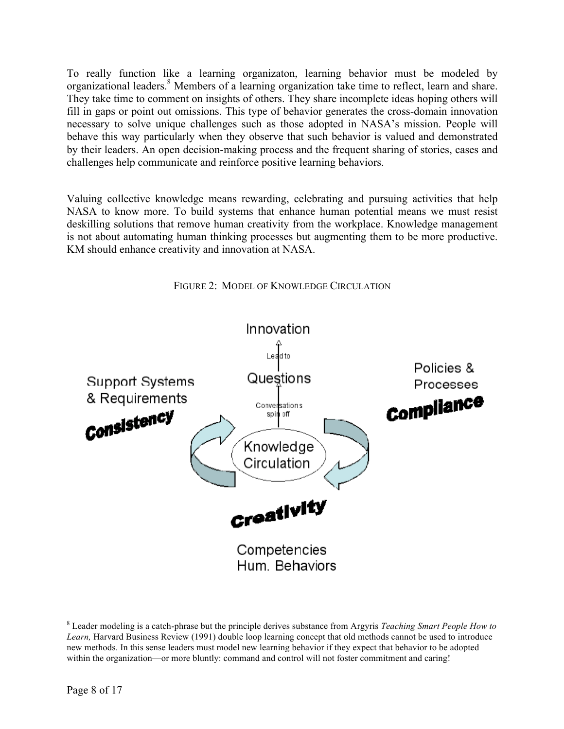To really function like a learning organizaton, learning behavior must be modeled by organizational leaders.<sup>8</sup> Members of a learning organization take time to reflect, learn and share. They take time to comment on insights of others. They share incomplete ideas hoping others will fill in gaps or point out omissions. This type of behavior generates the cross-domain innovation necessary to solve unique challenges such as those adopted in NASA's mission. People will behave this way particularly when they observe that such behavior is valued and demonstrated by their leaders. An open decision-making process and the frequent sharing of stories, cases and challenges help communicate and reinforce positive learning behaviors.

Valuing collective knowledge means rewarding, celebrating and pursuing activities that help NASA to know more. To build systems that enhance human potential means we must resist deskilling solutions that remove human creativity from the workplace. Knowledge management is not about automating human thinking processes but augmenting them to be more productive. KM should enhance creativity and innovation at NASA.

FIGURE 2: MODEL OF KNOWLEDGE CIRCULATION



 8 Leader modeling is a catch-phrase but the principle derives substance from Argyris *Teaching Smart People How to Learn,* Harvard Business Review (1991) double loop learning concept that old methods cannot be used to introduce new methods. In this sense leaders must model new learning behavior if they expect that behavior to be adopted within the organization—or more bluntly: command and control will not foster commitment and caring!

Page 8 of 17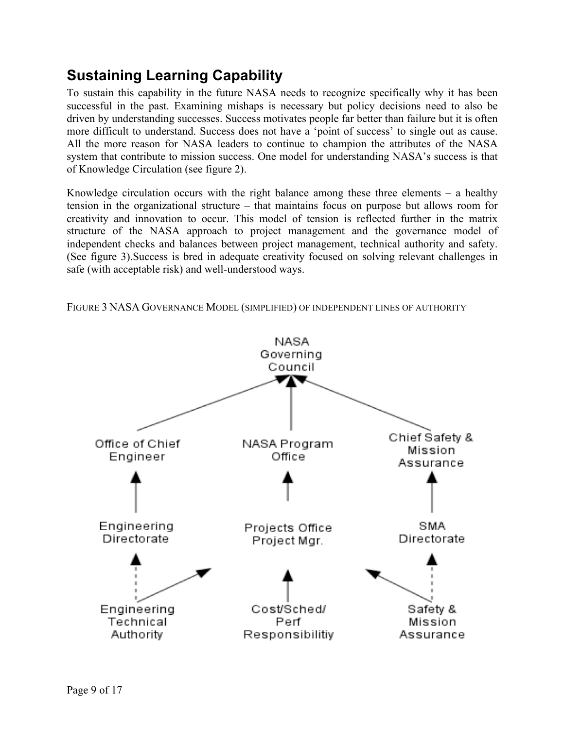# **Sustaining Learning Capability**

To sustain this capability in the future NASA needs to recognize specifically why it has been successful in the past. Examining mishaps is necessary but policy decisions need to also be driven by understanding successes. Success motivates people far better than failure but it is often more difficult to understand. Success does not have a 'point of success' to single out as cause. All the more reason for NASA leaders to continue to champion the attributes of the NASA system that contribute to mission success. One model for understanding NASA's success is that of Knowledge Circulation (see figure 2).

Knowledge circulation occurs with the right balance among these three elements – a healthy tension in the organizational structure – that maintains focus on purpose but allows room for creativity and innovation to occur. This model of tension is reflected further in the matrix structure of the NASA approach to project management and the governance model of independent checks and balances between project management, technical authority and safety. (See figure 3).Success is bred in adequate creativity focused on solving relevant challenges in safe (with acceptable risk) and well-understood ways.

FIGURE 3 NASA GOVERNANCE MODEL (SIMPLIFIED) OF INDEPENDENT LINES OF AUTHORITY

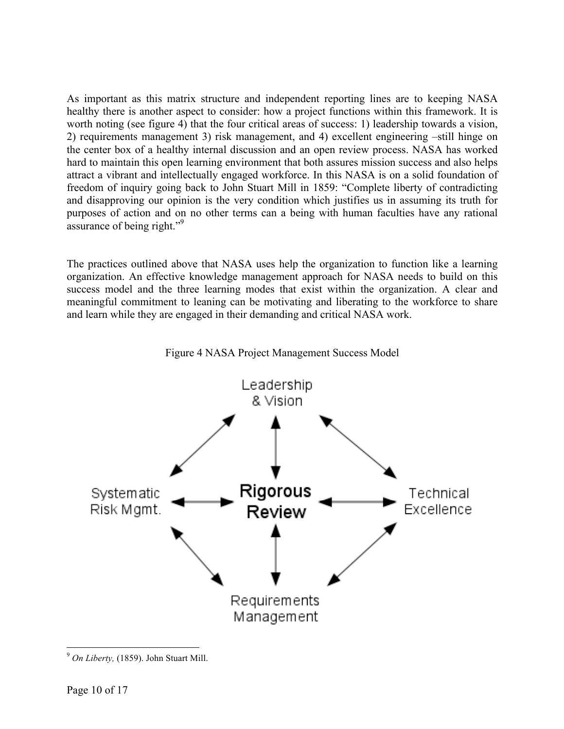As important as this matrix structure and independent reporting lines are to keeping NASA healthy there is another aspect to consider: how a project functions within this framework. It is worth noting (see figure 4) that the four critical areas of success: 1) leadership towards a vision, 2) requirements management 3) risk management, and 4) excellent engineering –still hinge on the center box of a healthy internal discussion and an open review process. NASA has worked hard to maintain this open learning environment that both assures mission success and also helps attract a vibrant and intellectually engaged workforce. In this NASA is on a solid foundation of freedom of inquiry going back to John Stuart Mill in 1859: "Complete liberty of contradicting and disapproving our opinion is the very condition which justifies us in assuming its truth for purposes of action and on no other terms can a being with human faculties have any rational assurance of being right."<sup>9</sup>

The practices outlined above that NASA uses help the organization to function like a learning organization. An effective knowledge management approach for NASA needs to build on this success model and the three learning modes that exist within the organization. A clear and meaningful commitment to leaning can be motivating and liberating to the workforce to share and learn while they are engaged in their demanding and critical NASA work.





 <sup>9</sup> *On Liberty,* (1859). John Stuart Mill.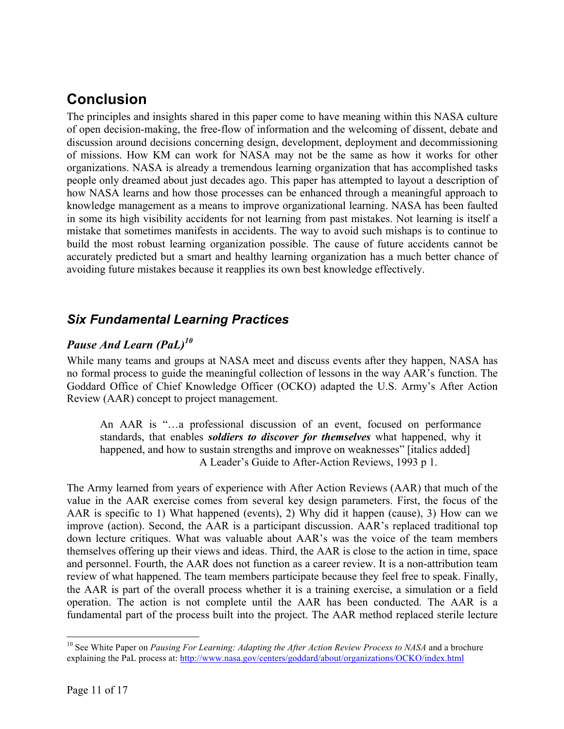## **Conclusion**

The principles and insights shared in this paper come to have meaning within this NASA culture of open decision-making, the free-flow of information and the welcoming of dissent, debate and discussion around decisions concerning design, development, deployment and decommissioning of missions. How KM can work for NASA may not be the same as how it works for other organizations. NASA is already a tremendous learning organization that has accomplished tasks people only dreamed about just decades ago. This paper has attempted to layout a description of how NASA learns and how those processes can be enhanced through a meaningful approach to knowledge management as a means to improve organizational learning. NASA has been faulted in some its high visibility accidents for not learning from past mistakes. Not learning is itself a mistake that sometimes manifests in accidents. The way to avoid such mishaps is to continue to build the most robust learning organization possible. The cause of future accidents cannot be accurately predicted but a smart and healthy learning organization has a much better chance of avoiding future mistakes because it reapplies its own best knowledge effectively.

## *Six Fundamental Learning Practices*

#### *Pause And Learn (PaL)10*

While many teams and groups at NASA meet and discuss events after they happen, NASA has no formal process to guide the meaningful collection of lessons in the way AAR's function. The Goddard Office of Chief Knowledge Officer (OCKO) adapted the U.S. Army's After Action Review (AAR) concept to project management.

An AAR is "…a professional discussion of an event, focused on performance standards, that enables *soldiers to discover for themselves* what happened, why it happened, and how to sustain strengths and improve on weaknesses" [italics added] A Leader's Guide to After-Action Reviews, 1993 p 1.

The Army learned from years of experience with After Action Reviews (AAR) that much of the value in the AAR exercise comes from several key design parameters. First, the focus of the AAR is specific to 1) What happened (events), 2) Why did it happen (cause), 3) How can we improve (action). Second, the AAR is a participant discussion. AAR's replaced traditional top down lecture critiques. What was valuable about AAR's was the voice of the team members themselves offering up their views and ideas. Third, the AAR is close to the action in time, space and personnel. Fourth, the AAR does not function as a career review. It is a non-attribution team review of what happened. The team members participate because they feel free to speak. Finally, the AAR is part of the overall process whether it is a training exercise, a simulation or a field operation. The action is not complete until the AAR has been conducted. The AAR is a fundamental part of the process built into the project. The AAR method replaced sterile lecture

<sup>&</sup>lt;sup>10</sup> See White Paper on *Pausing For Learning: Adapting the After Action Review Process to NASA* and a brochure explaining the PaL process at: http://www.nasa.gov/centers/goddard/about/organizations/OCKO/index.html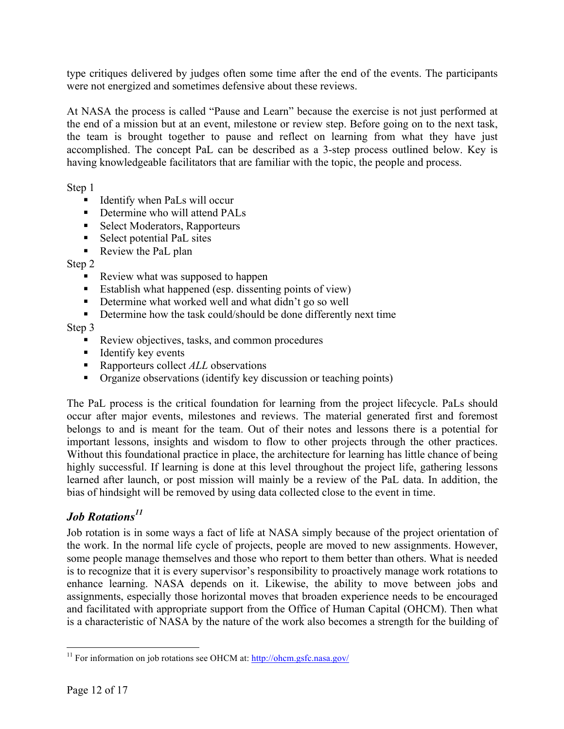type critiques delivered by judges often some time after the end of the events. The participants were not energized and sometimes defensive about these reviews.

At NASA the process is called "Pause and Learn" because the exercise is not just performed at the end of a mission but at an event, milestone or review step. Before going on to the next task, the team is brought together to pause and reflect on learning from what they have just accomplished. The concept PaL can be described as a 3-step process outlined below. Key is having knowledgeable facilitators that are familiar with the topic, the people and process.

Step 1

- Identify when PaLs will occur
- Determine who will attend PALs
- Select Moderators, Rapporteurs
- Select potential PaL sites
- Review the PaL plan

Step 2

- Review what was supposed to happen
- Establish what happened (esp. dissenting points of view)
- Determine what worked well and what didn't go so well
- Determine how the task could/should be done differently next time

#### Step 3

- Review objectives, tasks, and common procedures
- Identify key events
- Rapporteurs collect *ALL* observations
- Organize observations (identify key discussion or teaching points)

The PaL process is the critical foundation for learning from the project lifecycle. PaLs should occur after major events, milestones and reviews. The material generated first and foremost belongs to and is meant for the team. Out of their notes and lessons there is a potential for important lessons, insights and wisdom to flow to other projects through the other practices. Without this foundational practice in place, the architecture for learning has little chance of being highly successful. If learning is done at this level throughout the project life, gathering lessons learned after launch, or post mission will mainly be a review of the PaL data. In addition, the bias of hindsight will be removed by using data collected close to the event in time.

## *Job Rotations<sup>11</sup>*

Job rotation is in some ways a fact of life at NASA simply because of the project orientation of the work. In the normal life cycle of projects, people are moved to new assignments. However, some people manage themselves and those who report to them better than others. What is needed is to recognize that it is every supervisor's responsibility to proactively manage work rotations to enhance learning. NASA depends on it. Likewise, the ability to move between jobs and assignments, especially those horizontal moves that broaden experience needs to be encouraged and facilitated with appropriate support from the Office of Human Capital (OHCM). Then what is a characteristic of NASA by the nature of the work also becomes a strength for the building of

<sup>&</sup>lt;sup>11</sup> For information on job rotations see OHCM at: http://ohcm.gsfc.nasa.gov/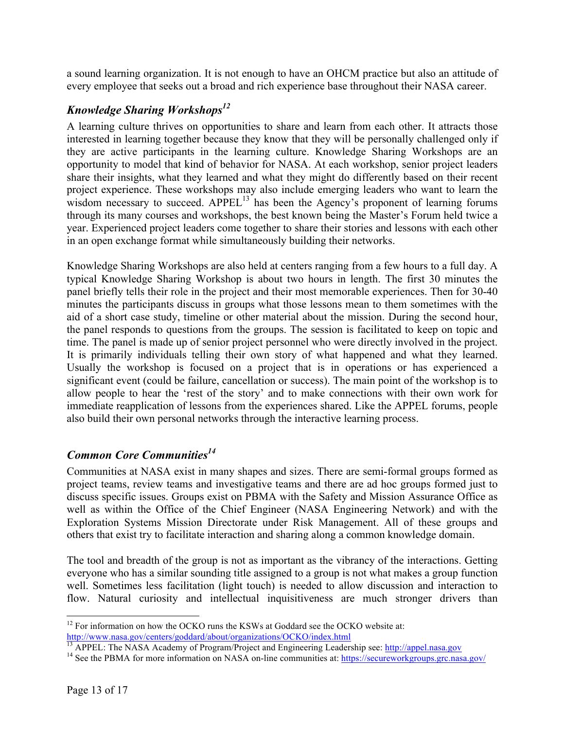a sound learning organization. It is not enough to have an OHCM practice but also an attitude of every employee that seeks out a broad and rich experience base throughout their NASA career.

### *Knowledge Sharing Workshops12*

A learning culture thrives on opportunities to share and learn from each other. It attracts those interested in learning together because they know that they will be personally challenged only if they are active participants in the learning culture. Knowledge Sharing Workshops are an opportunity to model that kind of behavior for NASA. At each workshop, senior project leaders share their insights, what they learned and what they might do differently based on their recent project experience. These workshops may also include emerging leaders who want to learn the wisdom necessary to succeed.  $APPEL<sup>13</sup>$  has been the Agency's proponent of learning forums through its many courses and workshops, the best known being the Master's Forum held twice a year. Experienced project leaders come together to share their stories and lessons with each other in an open exchange format while simultaneously building their networks.

Knowledge Sharing Workshops are also held at centers ranging from a few hours to a full day. A typical Knowledge Sharing Workshop is about two hours in length. The first 30 minutes the panel briefly tells their role in the project and their most memorable experiences. Then for 30-40 minutes the participants discuss in groups what those lessons mean to them sometimes with the aid of a short case study, timeline or other material about the mission. During the second hour, the panel responds to questions from the groups. The session is facilitated to keep on topic and time. The panel is made up of senior project personnel who were directly involved in the project. It is primarily individuals telling their own story of what happened and what they learned. Usually the workshop is focused on a project that is in operations or has experienced a significant event (could be failure, cancellation or success). The main point of the workshop is to allow people to hear the 'rest of the story' and to make connections with their own work for immediate reapplication of lessons from the experiences shared. Like the APPEL forums, people also build their own personal networks through the interactive learning process.

## *Common Core Communities14*

Communities at NASA exist in many shapes and sizes. There are semi-formal groups formed as project teams, review teams and investigative teams and there are ad hoc groups formed just to discuss specific issues. Groups exist on PBMA with the Safety and Mission Assurance Office as well as within the Office of the Chief Engineer (NASA Engineering Network) and with the Exploration Systems Mission Directorate under Risk Management. All of these groups and others that exist try to facilitate interaction and sharing along a common knowledge domain.

The tool and breadth of the group is not as important as the vibrancy of the interactions. Getting everyone who has a similar sounding title assigned to a group is not what makes a group function well. Sometimes less facilitation (light touch) is needed to allow discussion and interaction to flow. Natural curiosity and intellectual inquisitiveness are much stronger drivers than

<sup>&</sup>lt;sup>12</sup> For information on how the OCKO runs the KSWs at Goddard see the OCKO website at:

http://www.nasa.gov/centers/goddard/about/organizations/OCKO/index.html<br>
<sup>13</sup> APPEL: The NASA Academy of Program/Project and Engineering Leadership see: http://appel.nasa.gov/<br>
<sup>14</sup> See the PBMA for more information on NAS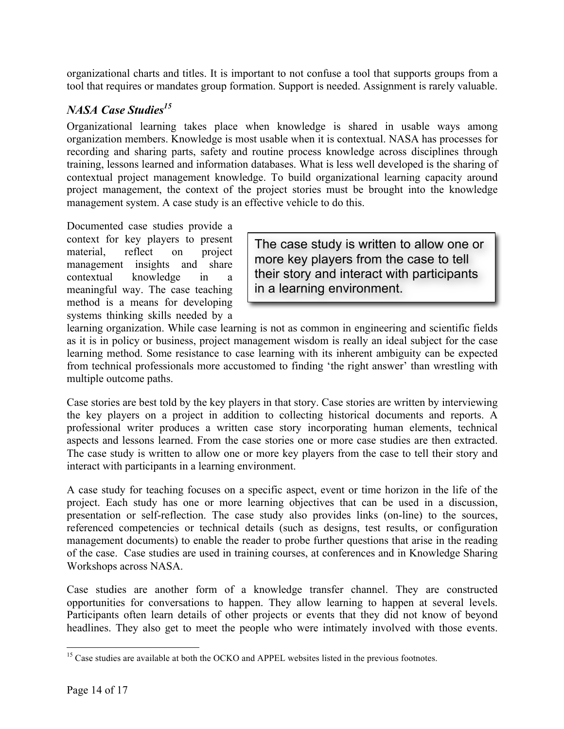organizational charts and titles. It is important to not confuse a tool that supports groups from a tool that requires or mandates group formation. Support is needed. Assignment is rarely valuable.

### *NASA Case Studies15*

Organizational learning takes place when knowledge is shared in usable ways among organization members. Knowledge is most usable when it is contextual. NASA has processes for recording and sharing parts, safety and routine process knowledge across disciplines through training, lessons learned and information databases. What is less well developed is the sharing of contextual project management knowledge. To build organizational learning capacity around project management, the context of the project stories must be brought into the knowledge management system. A case study is an effective vehicle to do this.

Documented case studies provide a context for key players to present material, reflect on project management insights and share contextual knowledge in a meaningful way. The case teaching method is a means for developing systems thinking skills needed by a

The case study is written to allow one or more key players from the case to tell their story and interact with participants in a learning environment.

learning organization. While case learning is not as common in engineering and scientific fields as it is in policy or business, project management wisdom is really an ideal subject for the case learning method. Some resistance to case learning with its inherent ambiguity can be expected from technical professionals more accustomed to finding 'the right answer' than wrestling with multiple outcome paths.

Case stories are best told by the key players in that story. Case stories are written by interviewing the key players on a project in addition to collecting historical documents and reports. A professional writer produces a written case story incorporating human elements, technical aspects and lessons learned. From the case stories one or more case studies are then extracted. The case study is written to allow one or more key players from the case to tell their story and interact with participants in a learning environment.

A case study for teaching focuses on a specific aspect, event or time horizon in the life of the project. Each study has one or more learning objectives that can be used in a discussion, presentation or self-reflection. The case study also provides links (on-line) to the sources, referenced competencies or technical details (such as designs, test results, or configuration management documents) to enable the reader to probe further questions that arise in the reading of the case. Case studies are used in training courses, at conferences and in Knowledge Sharing Workshops across NASA.

Case studies are another form of a knowledge transfer channel. They are constructed opportunities for conversations to happen. They allow learning to happen at several levels. Participants often learn details of other projects or events that they did not know of beyond headlines. They also get to meet the people who were intimately involved with those events.

<sup>&</sup>lt;sup>15</sup> Case studies are available at both the OCKO and APPEL websites listed in the previous footnotes.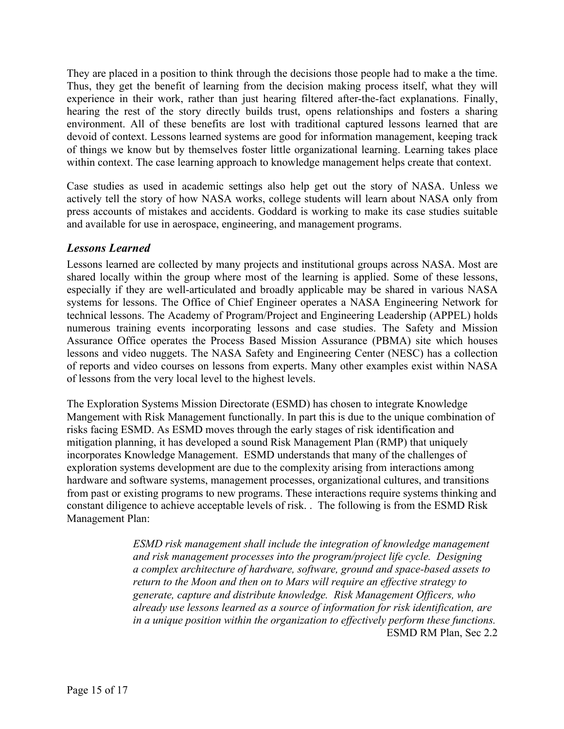They are placed in a position to think through the decisions those people had to make a the time. Thus, they get the benefit of learning from the decision making process itself, what they will experience in their work, rather than just hearing filtered after-the-fact explanations. Finally, hearing the rest of the story directly builds trust, opens relationships and fosters a sharing environment. All of these benefits are lost with traditional captured lessons learned that are devoid of context. Lessons learned systems are good for information management, keeping track of things we know but by themselves foster little organizational learning. Learning takes place within context. The case learning approach to knowledge management helps create that context.

Case studies as used in academic settings also help get out the story of NASA. Unless we actively tell the story of how NASA works, college students will learn about NASA only from press accounts of mistakes and accidents. Goddard is working to make its case studies suitable and available for use in aerospace, engineering, and management programs.

#### *Lessons Learned*

Lessons learned are collected by many projects and institutional groups across NASA. Most are shared locally within the group where most of the learning is applied. Some of these lessons, especially if they are well-articulated and broadly applicable may be shared in various NASA systems for lessons. The Office of Chief Engineer operates a NASA Engineering Network for technical lessons. The Academy of Program/Project and Engineering Leadership (APPEL) holds numerous training events incorporating lessons and case studies. The Safety and Mission Assurance Office operates the Process Based Mission Assurance (PBMA) site which houses lessons and video nuggets. The NASA Safety and Engineering Center (NESC) has a collection of reports and video courses on lessons from experts. Many other examples exist within NASA of lessons from the very local level to the highest levels.

The Exploration Systems Mission Directorate (ESMD) has chosen to integrate Knowledge Mangement with Risk Management functionally. In part this is due to the unique combination of risks facing ESMD. As ESMD moves through the early stages of risk identification and mitigation planning, it has developed a sound Risk Management Plan (RMP) that uniquely incorporates Knowledge Management. ESMD understands that many of the challenges of exploration systems development are due to the complexity arising from interactions among hardware and software systems, management processes, organizational cultures, and transitions from past or existing programs to new programs. These interactions require systems thinking and constant diligence to achieve acceptable levels of risk. . The following is from the ESMD Risk Management Plan:

> *ESMD risk management shall include the integration of knowledge management and risk management processes into the program/project life cycle. Designing a complex architecture of hardware, software, ground and space-based assets to return to the Moon and then on to Mars will require an effective strategy to generate, capture and distribute knowledge. Risk Management Officers, who already use lessons learned as a source of information for risk identification, are in a unique position within the organization to effectively perform these functions.* ESMD RM Plan, Sec 2.2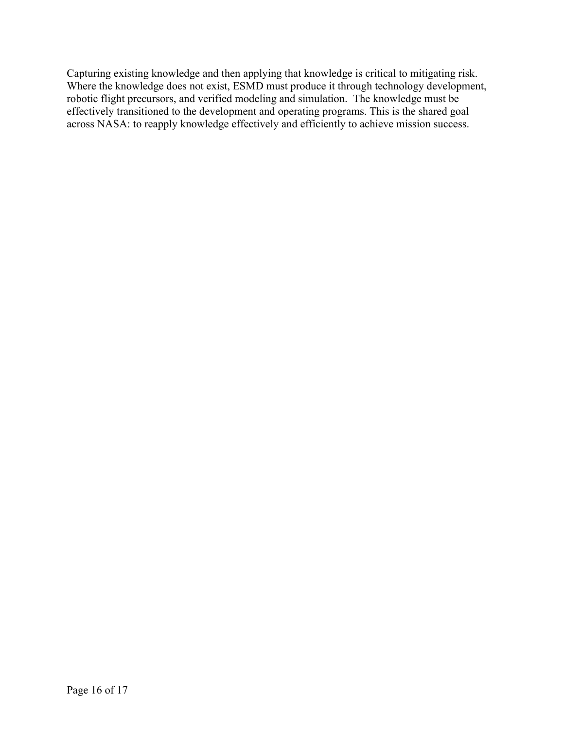Capturing existing knowledge and then applying that knowledge is critical to mitigating risk. Where the knowledge does not exist, ESMD must produce it through technology development, robotic flight precursors, and verified modeling and simulation. The knowledge must be effectively transitioned to the development and operating programs. This is the shared goal across NASA: to reapply knowledge effectively and efficiently to achieve mission success.